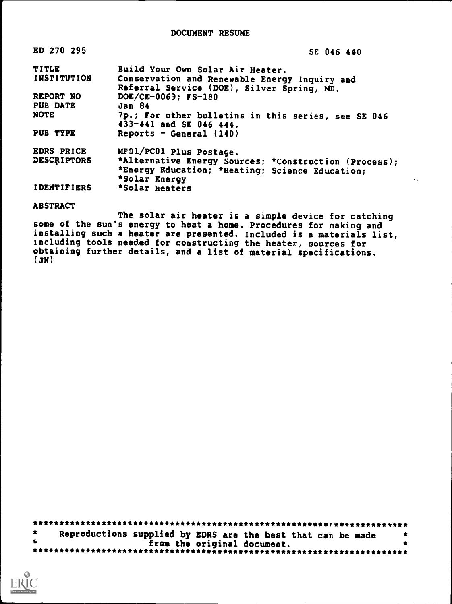| ED 270 295         | SE 046 440                                                                     |
|--------------------|--------------------------------------------------------------------------------|
| <b>TITLE</b>       | Build Your Own Solar Air Heater.                                               |
| <b>INSTITUTION</b> | Conservation and Renewable Energy Inquiry and                                  |
|                    | Referral Service (DOE), Silver Spring, MD.                                     |
| REPORT NO          | DOE/CE-0069: FS-180                                                            |
| <b>PUB DATE</b>    | Jan 84                                                                         |
| NOTE               | 7p.; For other bulletins in this series, see SE 046<br>433-441 and SE 046 444. |
| PUB TYPE           | Reports - General $(140)$                                                      |
| EDRS PRICE         | MF01/PC01 Plus Postage.                                                        |
| <b>DESCRIPTORS</b> | *Alternative Energy Sources; *Construction (Process);                          |
|                    | *Energy Education; *Heating; Science Education;                                |
|                    | *Solar Energy<br>$\sim$                                                        |
| <b>IDENTIFIERS</b> | *Solar heaters                                                                 |

#### ABSTRACT

The solar air heater is a simple device for catching some of the sun's energy to heat a home. Procedures for making and installing such a heater are presented. Included is a materials list, including tools needed for constructing the heater, sources for obtaining further details, and a list of material specifications. (JN)

|              | Reproductions supplied by EDRS are the best that can be made |  |  |  |
|--------------|--------------------------------------------------------------|--|--|--|
| $\mathbf{r}$ | from the original document.                                  |  |  |  |
|              |                                                              |  |  |  |

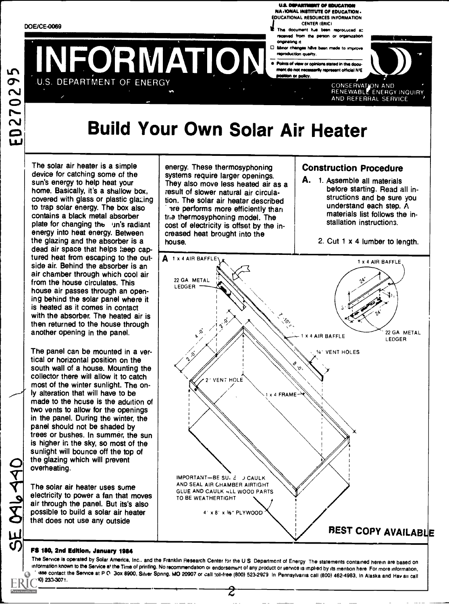U.S. DEPARTMENT OF EDUCATION NA r1ONAL INSTITUTE OF EDUCATION. EDUCATIONAL RESOURCES INFORMATION CENTER (ERIC)

- This document has been reproduced at received from the parson or organization originating it
- reproduction quality
- VFORMATION FREEDOM **Points of view or opinions stated in this docu-**<br>mant do not necessarily represent official hit ment official N'E position or policy



# Build Your Own Solar Air Heater

The solar air heater is a simple device for catching some of the sun's energy to help heat your home. Basically, it's a shallow box, covered with glass or plastic glazing to trap solar energy. The box also contains a black metal absorber plate for changing the un's radiant energy into heat energy. Between the glazing and the absorber is a dead air space that helps keep captured heat from escaping to the outside air. Behind the absorber is an air chamber through which cool air from the house circulates. This house air passes through an opening behind the solar panel where it is heated as it comes in contact with the absorber. The heated air is then returned to the house through another opening in the panel.

The panel can be mounted in a vertical or horizontal position on the south wall of a house. Mounting the collector there will allow it to catch most of the winter sunlight. The only alteration that will have to be made to the hcuse is the aduition of two vents to allow for the openings in the panel. During tho winter, the panel should not be shaded by trees or bushes. In summer, the sun is higher in the sky, so most of the sunlight will bounce off the top of the glazing which will prevent overheating.

The solar air heater uses sume electricity to power a fan that moves air through the panel. But its's also possible to build a solar air heater that does not use any outside

energy. These thermosyphoning systems require larger openings. They also move less heated air as a result of slower natural air circulation. The solar air heater described are performs more efficiently than tria thermosyphoning model. The cost of electricity is offset by the increased heat brought into the house.

### Construction Procedure

A. 1. Assemble all materials before starting. Read all instructions and be sure you understand each step. A materials list follows the installation instructions.

2. Cut 1 x 4 lumber to length.



#### FS 180, 2nd Edftlon, January 1934

The Service is operated by Solar America, Inc.. and the Franklin Research Center for the US Department of Energy The statements contained herein are based on information known to the Service at the Time of printing. No recommendation or endorsement of any product or service is implied by its mention here For more information, nase contact the Service at P O Box 8900, Silver Spnng, MO 20907 or call toll-free (800) 523-2929. In Pennsylvania call (800) 462-4983, In Alaska and Hav aii call<br>+0) 233-3071.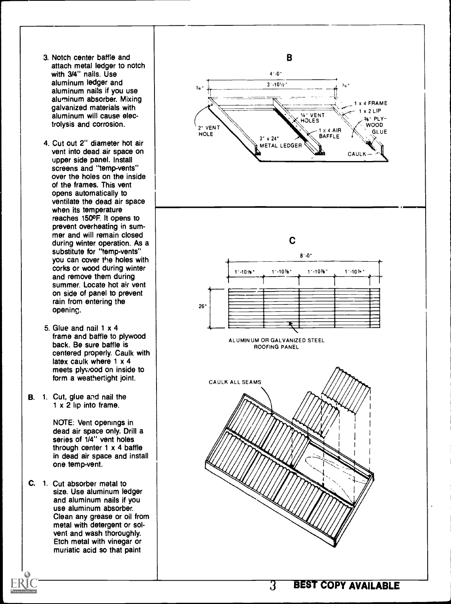- 3. Notch center baffle and attach metal ledger to notch with 3/4" nails. Use aluminum ledger and aluminum nails if you use aluminum absorber. Mixing galvanized materials with aluminum will cause electrolysis and corrosion.
- 4. Cut out 2" diameter hot air vent into dead air space on upper side panel. Install screens and "temp-vents" over the holes on the inside of the frames. This vent opens automatically to ventilate the dead air space when its temperature reaches 1500F. It opens to prevent overheating in summer and will remain closed during winter operation. As a substitute for "temp-vents" you can cover the holes with corks or wood during winter and remove them during summer. Locate hot air vent on side of panel to prevent rain from entering the openinc.
- 5. Glue and nail 1 x 4 frame and baffle to plywood back. Be sure baffle is centered properly. Caulk with latex caulk where 1 x 4 meets plywood on inside to form a weathertight joint.
- B. 1. Cut, glue and nail the 1 x 2 lip into frame.

NOTE: Vent openings in dead air space only. Drill a series of 1/4" vent holes through center 1 x 4 baffle in dead air space and install one temp-vent.

C. 1. Cut absorber metal to size. Use aluminum ledger and aluminum nails if you use aluminum absorber. Clean any grease or oil from metal with detergent or solvent and wash thoroughly. Etch metal with vinegar or muriatic acid so that paint

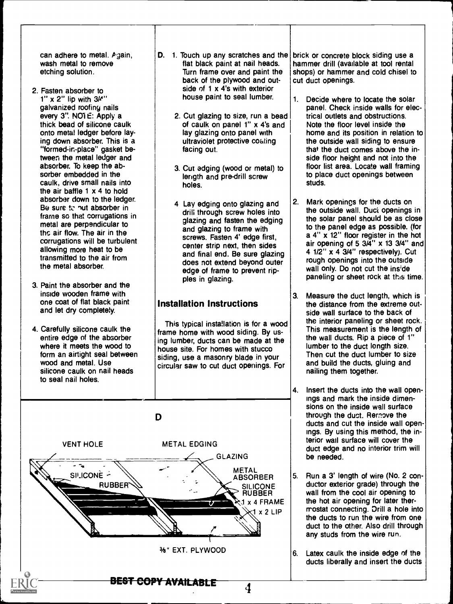can adhere to metal.  $P$ gain, wash metal to remove etching solution.

- 2. Fasten absorber to  $1''$  x 2" lip with  $3/4"$ galvanized roofing nails every 3". NOTE: Apply a thick bead of silicone caulk onto metal ledger before laying down absorber. This is a "formed-in-place" gasket between the metal ledger and absorber. To keep the absorber embedded in the caulk, drive small nails into the air baffle 1 x 4 to hold absorber down to the ledger. Be sure to nut absorber in frame so that corrugations in metal are perpendicular to the air flow. The air in the corrugations will be turbulent allowing more heat to be transmitted to the air from the metal absorber.
- 3. Paint the absorber and the inside wooden frame with one coat of flat black paint and let dry completely.
- 4. Carefully silicone caulk the entire edge of the absorber where it meets the wood to form an airtight seal between wood and metal. Use silicone caulk on nail heads to seal nail holes.
- D. 1. Touch up any scratches and the flat black paint at nail heads. Turn frame over and paint the back of the plywood and outside of 1 x 4's with exterior house paint to seal lumber.
	- 2. Cut glazing to size, run a bead of caulk on panel 1" x 4's and lay glazing onto panel with ultraviolet protective costing facing out.
	- 3. Cut edging (wood or metal) to length and pre-drill screw holes.
	- 4 Lay edging onto glazing and  $\vert$  2. drill through screw holes into glazing and fasten the edging and glazing to frame with screws. Fasten 4' edge first, center strip next, then sides and final end. Be sure glazing does not extend beyond outer edge of frame to prevent ripples in glazing.

# Installation Instructions

This typical insta!lation is for a wood frame home with wood siding. By using lumber, ducts can be made at the house site. For homes with stucco siding, use a masonry blade in your circular saw to cut duct openings. For



brick or concrete block siding use a hammer drill (available at tool rental shops) or hammer and cold chisel to cut duct openings.

- 1. Decide where to locate the solar panel. Check inside walls for electrical outlets and obstructions. Note the floor level inside the home and its position in relation to the outside wall siding to ensure that the duct comes above the inside floor height and not into the floor list area. Locate wall framing to place duct openings between studs.
- Mark openings for the ducts on the outside wall. Duct openings in the solar panel should be as close to the panel edge as possible. (for a 4" x 12" floor register in the hot air opening of 5  $3\overline{A}$ " x 13  $3/4$ " and 4 1/2" x 4 3/4" respectively). Cut rough openings into the outside wall only. Do not cut the inside paneling or sheet rock at this time.
- 3. Measure the duct length, which is the distance from the extreme outside wall surface to the back of the interior paneling or sheet rock. This measurement is the length of the wall ducts. Rip a piece of 1" lumber to the duct length size. Then cut the duct lumber to size and build the ducts, gluing and nailing them together.
- 4. Insert the ducts into the wall openings and mark the inside dimensions on the inside wall surface through the duct. Remove the ducts and cut the inside wall openings. By using this method, the interior wall surface will cover the duct edge and no interior trim will be needed.
- Run a 3' length of wire (No. 2 conductor exterior grade) through the wall from the cool air opening to the hot air opening for later thermostat connecting. Drill a hole into the ducts to run the wire from one duct to the other. Also drill through any studs from the wire run.
- Latex caulk the inside edge of the ducts liberally and insert the ducts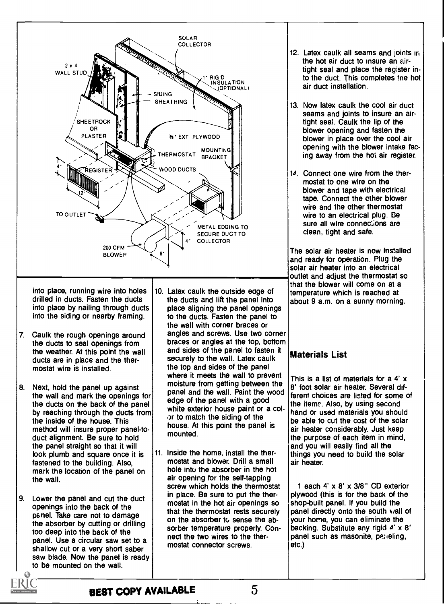

into place, running wire into holes drilled in ducts. Fasten the ducts into place by nailing through ducts into the siding or nearby framing.

- 7. Caulk the rough openings around the ducts to seal openings from the weather. At this point the wall ducts are in place and the thermostat wire is installed.
- 8. Next, hold the panel up against the wall and mark the openings for the ducts on the back of the panel by reaching through the ducts from the inside of the house. This method will insure proper panel-toduct alignment. Be sure to hold the panel straight so that it will look plumb and square once it is fastened to the building. Also, mark the location of the panel on the wall.
- 9. Lower the panel and cut the duct openings into the back of the panel. Take care not to damage the absorber by cutting or drilling too deep into the back of the panel. Use a circular saw set to a shallow cut or a very short saber saw blade. Now the panel is ready to be mounted on the wall.
- 10. Latex caulk the outside eage of the ducts and lift the panel into place aligning the panel openings to the ducts. Fasten the panel to the wall with corner braces or angles and screws. Use two corner braces or angles at the top, bottom and sides of the panel to fasten it securely to the wall. Latex caulk the top and sides of the panel where it meets the wall to prevent moisture from getting between the panel and the wall. Paint the wood edge of the panel with a good white exterior house paint or a color to match the siding of the house. At this point the panel is mounted.
- 11. Inside the home, install the thermostat and blower. Drill a small hole into the absorber in the hot air opening for the self-tapping screw which holds the thermostat in place. Be sure to put the thermostat in the hot air openings so that the thermostat rests securely on the absorber to sense the absorber temperature properly. Connect the two wires to the thermostat connector screws.
- 12. Latex caulk all seams and joints in the hot air duct to insure an airtight seal and place the register into the duct. This completes tne hot air duct installation.
- 13. Now latex caulk the cool air duct seams and joints to insure an airtight seal. Caulk the lip of the blower opening and fasten the blower in place over the cool air opening with the blower intake facing away from the hot air register.
- 14. Connect one wire from the thermostat to one wire on the blower and tape with electrical tape. Connect the other blower wire and the other thermostat wire to an electrical plug. De sure all wire connections are clean, tight and safe.

The solar air heater is now installed and ready for operation. Plug the solar air heater into an electrical outlet and adjust the thermostat so that the blower will come on at a temperature which is reached at about 9 a.m. on a sunny morning.

# Materials List

This is a list of materials for a 4' x 8' foot solar air heater. Several different choices are listed for some of the items. Also, by using second hand or used materials you should be able to cut the cost of the solar air heater considerably. Just keep the purpose of each item in mind, and you will easily find all the things you need to build the solar air heater.

1 each 4' x 8' x 3/8" CD exterior plywood (this is for the back of the shop-built panel. If you build the panel directly onto the south wall of your home, you can eliminate the backing. Substitute any rigid  $4' \times 8'$ panel such as masonite, paneling, etc.)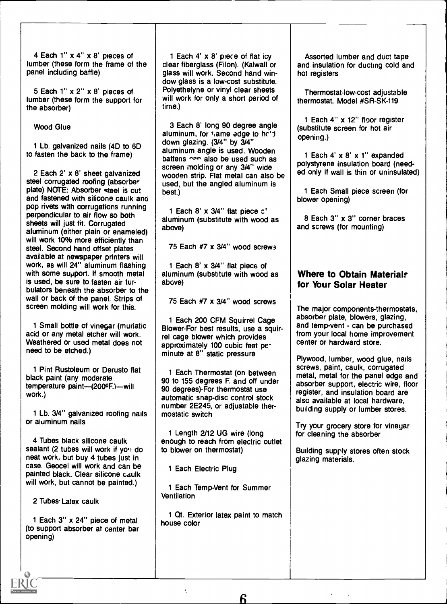4 Each 1" x 4" x 8' pieces of lumber (these form the frame of the panel including baffle)

5 Each 1" x 2" x 8' pieces of lumber (these form the support for the absorber)

Wood Glue

1 Lb. galvanized nails (4D to 6D to fasten the back to the frame)

2 Each 2' x 8' sheet galvanized steel corrugated roofing (absorber plate) NOTE: Absorber steel is cut and fastened with silicone caulk and pop rivets with corrugations running perpendicular to air flow so both sheets will just fit. Corrugated aluminum (either plain or enameled) will work 10% more efficiently than steel. Second hand offset plates available at newspaper printers will work, as will 24" aluminum flashing with some support. If smooth metal is used, be sure to fasten air turbulators beneath the absorber to the wall or back of the panel. Strips of screen molding will work for this.

1 Small bottle of vinegar (muriatic acid or any metal etcher will work. Weathered or used metal does not need to be etched.)

1 Pint Rustoleum or Derusto flat black paint (any moderate temperature paint-(200ºF.)-will work.)

1 Lb. 3/4" galvanized roofing nails | mosta or aluminum nails

4 Tubes black silicone caulk sealant (2 tubes will work if you do neat work, but buy 4 tubes just in case. Geocel will work and can be painted black. Clear silicone caulk will work, but cannot be painted.)

2 Tubes. Latex caulk

1 Each 3" x 24" piece of metal (to support absorber at center bar opening)

1 Each 4' x 8' piece of flat icy clear fiberglass (Filon). (Kalwall or glass will work. Second hand window glass is a low-cost substitute. Polyethelyne or vinyl clear sheets will work for only a short period of time.)

3 Each 8' long 90 degree angle aluminum, for  $t_i$  ame adge to he'd down glazing. (3/4" by 3/4" aluminum angle is used. Wooden battens ner also be used such as screen molding or any 3/4" wide wooden strip. Flat metal can also be used, but the angled aluminum is best.)

1 Each 8' x 3/4" flat piece o' aluminum (substitute with wood as above)

75 Each #7 x 3/4" wood screws

1 Each 8' x 3/4" flat piece of aluminum (substitute with wood as above)

75 Each #7 x 3/4" wood screws

1 Each 200 CFM Squirrel Cage Blower-For best results, use a squirrel cage blower which provides approximately 100 cubic feet peminute at 8" static pressure

1 Each Thermostat (on between 90 to 155 degrees F. and off under 90 degrees)-For thermostat use automatic snap-disc control stock number 2E245, or adjustable thermostatic switch

1 Length 2/12 UG wire (long enough to reach from electric outlet to blower on thermostat)

1 Each Electric Plug

1 Each Temp-Vent for Summer **Ventilation** 

1 Qt. Exterior latex paint to match house color

Assorted lumber and duct tape and insulation for ducting cold and hot registers

Thermostat-low-cost adjustable thermostat, Model #SR-SK-119

1 Each 4" x 12" floor register (substitute screen for hot air opening.)

1 Each 4' x 8' x 1" expanded polystyrene insulation board (needed only if wall is thin or uninsulated)

1 Each Small piece screen (for blower opening)

8 Each 3" x 3" corner braces and screws (for mounting)

## Where to Obtain Materials for Your Solar Heater

The major components-thermostats, absorber plate, blowers, glazing, and temp-vent - can be purchased from your local home improvement center or hardward store.

Plywood, lumber, wood glue, nails screws, paint, caulk, corrugated metal, metal for the panel edge and absorber support, electric wire, floor register, and insulation board are also available at local hardware, building supply or lumber stores.

Try your grocery store for vinegar for cleaning the absorber

Building supply stores often stock glazing materials.